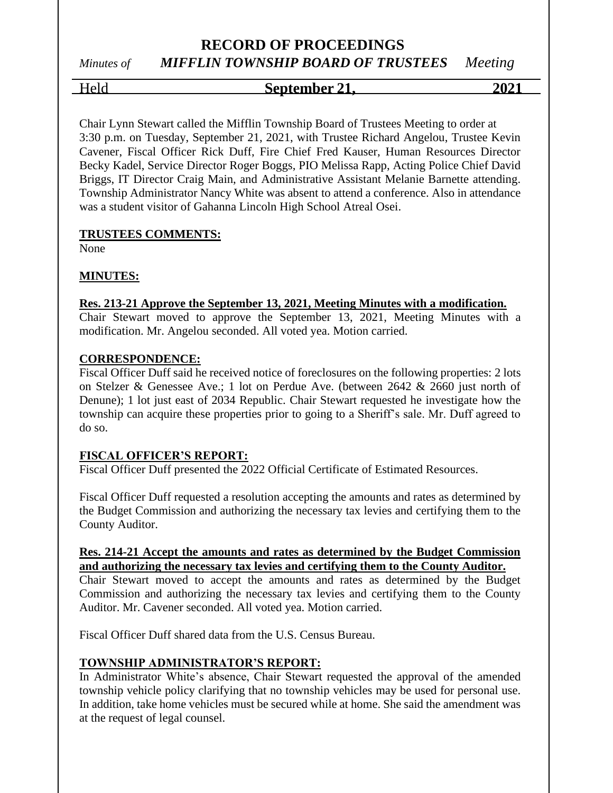# **RECORD OF PROCEEDINGS**

*Minutes of MIFFLIN TOWNSHIP BOARD OF TRUSTEES Meeting*

# Held **September 21, 2021**

Chair Lynn Stewart called the Mifflin Township Board of Trustees Meeting to order at 3:30 p.m. on Tuesday, September 21, 2021, with Trustee Richard Angelou, Trustee Kevin Cavener, Fiscal Officer Rick Duff, Fire Chief Fred Kauser, Human Resources Director Becky Kadel, Service Director Roger Boggs, PIO Melissa Rapp, Acting Police Chief David Briggs, IT Director Craig Main, and Administrative Assistant Melanie Barnette attending. Township Administrator Nancy White was absent to attend a conference. Also in attendance was a student visitor of Gahanna Lincoln High School Atreal Osei.

### **TRUSTEES COMMENTS:**

None

### **MINUTES:**

### **Res. 213-21 Approve the September 13, 2021, Meeting Minutes with a modification.**

Chair Stewart moved to approve the September 13, 2021, Meeting Minutes with a modification. Mr. Angelou seconded. All voted yea. Motion carried.

### **CORRESPONDENCE:**

Fiscal Officer Duff said he received notice of foreclosures on the following properties: 2 lots on Stelzer & Genessee Ave.; 1 lot on Perdue Ave. (between 2642 & 2660 just north of Denune); 1 lot just east of 2034 Republic. Chair Stewart requested he investigate how the township can acquire these properties prior to going to a Sheriff's sale. Mr. Duff agreed to do so.

### **FISCAL OFFICER'S REPORT:**

Fiscal Officer Duff presented the 2022 Official Certificate of Estimated Resources.

Fiscal Officer Duff requested a resolution accepting the amounts and rates as determined by the Budget Commission and authorizing the necessary tax levies and certifying them to the County Auditor.

### **Res. 214-21 Accept the amounts and rates as determined by the Budget Commission and authorizing the necessary tax levies and certifying them to the County Auditor.**

Chair Stewart moved to accept the amounts and rates as determined by the Budget Commission and authorizing the necessary tax levies and certifying them to the County Auditor. Mr. Cavener seconded. All voted yea. Motion carried.

Fiscal Officer Duff shared data from the U.S. Census Bureau.

# **TOWNSHIP ADMINISTRATOR'S REPORT:**

In Administrator White's absence, Chair Stewart requested the approval of the amended township vehicle policy clarifying that no township vehicles may be used for personal use. In addition, take home vehicles must be secured while at home. She said the amendment was at the request of legal counsel.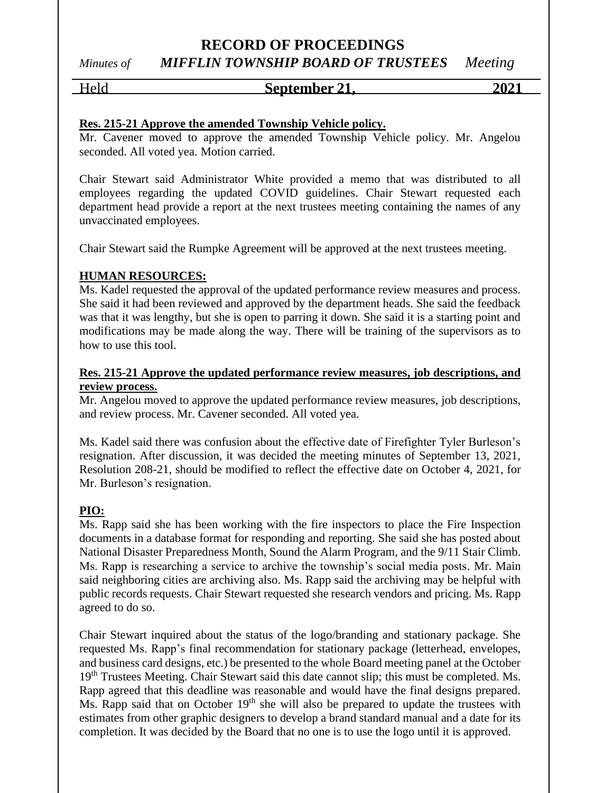# **RECORD OF PROCEEDINGS** *Minutes of MIFFLIN TOWNSHIP BOARD OF TRUSTEES Meeting*

### Held **September 21, 2021**

### **Res. 215-21 Approve the amended Township Vehicle policy.**

Mr. Cavener moved to approve the amended Township Vehicle policy. Mr. Angelou seconded. All voted yea. Motion carried.

Chair Stewart said Administrator White provided a memo that was distributed to all employees regarding the updated COVID guidelines. Chair Stewart requested each department head provide a report at the next trustees meeting containing the names of any unvaccinated employees.

Chair Stewart said the Rumpke Agreement will be approved at the next trustees meeting.

### **HUMAN RESOURCES:**

Ms. Kadel requested the approval of the updated performance review measures and process. She said it had been reviewed and approved by the department heads. She said the feedback was that it was lengthy, but she is open to parring it down. She said it is a starting point and modifications may be made along the way. There will be training of the supervisors as to how to use this tool.

### **Res. 215-21 Approve the updated performance review measures, job descriptions, and review process.**

Mr. Angelou moved to approve the updated performance review measures, job descriptions, and review process. Mr. Cavener seconded. All voted yea.

Ms. Kadel said there was confusion about the effective date of Firefighter Tyler Burleson's resignation. After discussion, it was decided the meeting minutes of September 13, 2021, Resolution 208-21, should be modified to reflect the effective date on October 4, 2021, for Mr. Burleson's resignation.

### **PIO:**

Ms. Rapp said she has been working with the fire inspectors to place the Fire Inspection documents in a database format for responding and reporting. She said she has posted about National Disaster Preparedness Month, Sound the Alarm Program, and the 9/11 Stair Climb. Ms. Rapp is researching a service to archive the township's social media posts. Mr. Main said neighboring cities are archiving also. Ms. Rapp said the archiving may be helpful with public records requests. Chair Stewart requested she research vendors and pricing. Ms. Rapp agreed to do so.

Chair Stewart inquired about the status of the logo/branding and stationary package. She requested Ms. Rapp's final recommendation for stationary package (letterhead, envelopes, and business card designs, etc.) be presented to the whole Board meeting panel at the October 19<sup>th</sup> Trustees Meeting. Chair Stewart said this date cannot slip; this must be completed. Ms. Rapp agreed that this deadline was reasonable and would have the final designs prepared. Ms. Rapp said that on October  $19<sup>th</sup>$  she will also be prepared to update the trustees with estimates from other graphic designers to develop a brand standard manual and a date for its completion. It was decided by the Board that no one is to use the logo until it is approved.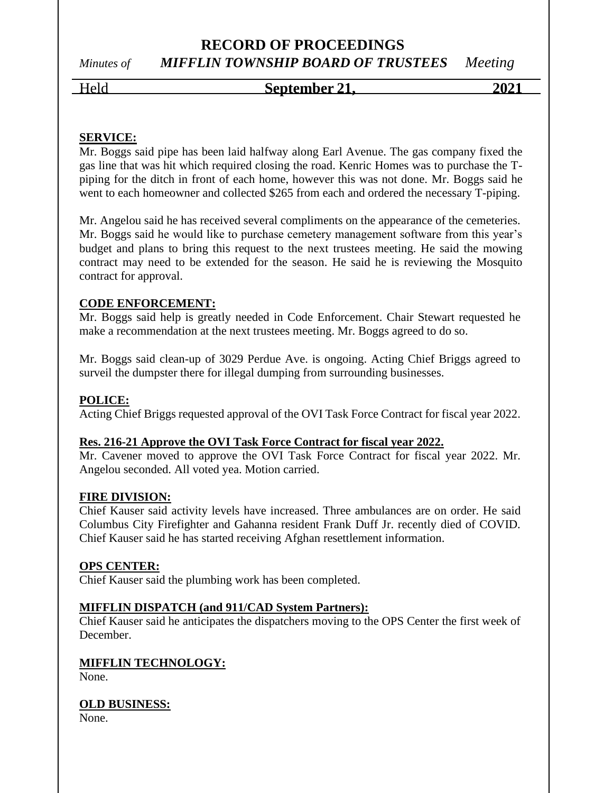# **RECORD OF PROCEEDINGS** *Minutes of MIFFLIN TOWNSHIP BOARD OF TRUSTEES Meeting*

# Held **September 21, 2021**

### **SERVICE:**

Mr. Boggs said pipe has been laid halfway along Earl Avenue. The gas company fixed the gas line that was hit which required closing the road. Kenric Homes was to purchase the Tpiping for the ditch in front of each home, however this was not done. Mr. Boggs said he went to each homeowner and collected \$265 from each and ordered the necessary T-piping.

Mr. Angelou said he has received several compliments on the appearance of the cemeteries. Mr. Boggs said he would like to purchase cemetery management software from this year's budget and plans to bring this request to the next trustees meeting. He said the mowing contract may need to be extended for the season. He said he is reviewing the Mosquito contract for approval.

### **CODE ENFORCEMENT:**

Mr. Boggs said help is greatly needed in Code Enforcement. Chair Stewart requested he make a recommendation at the next trustees meeting. Mr. Boggs agreed to do so.

Mr. Boggs said clean-up of 3029 Perdue Ave. is ongoing. Acting Chief Briggs agreed to surveil the dumpster there for illegal dumping from surrounding businesses.

### **POLICE:**

Acting Chief Briggs requested approval of the OVI Task Force Contract for fiscal year 2022.

### **Res. 216-21 Approve the OVI Task Force Contract for fiscal year 2022.**

Mr. Cavener moved to approve the OVI Task Force Contract for fiscal year 2022. Mr. Angelou seconded. All voted yea. Motion carried.

### **FIRE DIVISION:**

Chief Kauser said activity levels have increased. Three ambulances are on order. He said Columbus City Firefighter and Gahanna resident Frank Duff Jr. recently died of COVID. Chief Kauser said he has started receiving Afghan resettlement information.

### **OPS CENTER:**

Chief Kauser said the plumbing work has been completed.

### **MIFFLIN DISPATCH (and 911/CAD System Partners):**

Chief Kauser said he anticipates the dispatchers moving to the OPS Center the first week of December.

### **MIFFLIN TECHNOLOGY:**

None.

### **OLD BUSINESS:**

None.